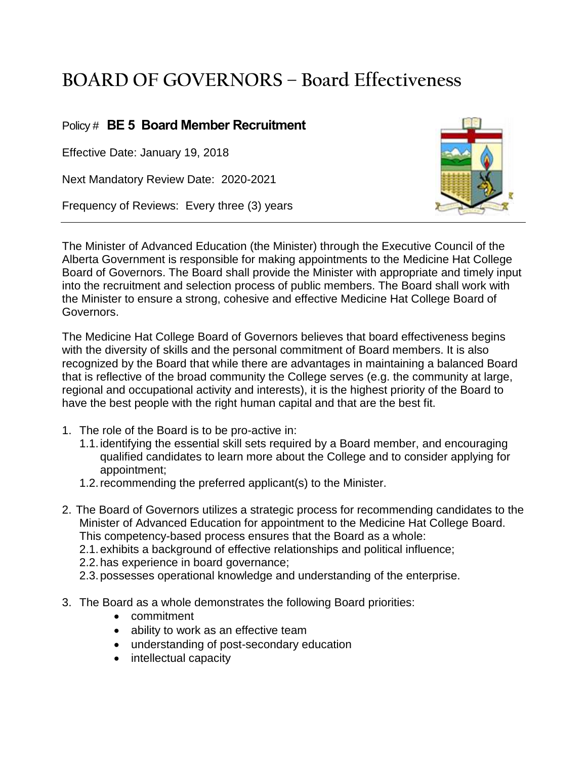## **BOARD OF GOVERNORS – Board Effectiveness**

## Policy # **BE 5 Board Member Recruitment**

Effective Date: January 19, 2018

Next Mandatory Review Date: 2020-2021

Frequency of Reviews: Every three (3) years



The Minister of Advanced Education (the Minister) through the Executive Council of the Alberta Government is responsible for making appointments to the Medicine Hat College Board of Governors. The Board shall provide the Minister with appropriate and timely input into the recruitment and selection process of public members. The Board shall work with the Minister to ensure a strong, cohesive and effective Medicine Hat College Board of Governors.

The Medicine Hat College Board of Governors believes that board effectiveness begins with the diversity of skills and the personal commitment of Board members. It is also recognized by the Board that while there are advantages in maintaining a balanced Board that is reflective of the broad community the College serves (e.g. the community at large, regional and occupational activity and interests), it is the highest priority of the Board to have the best people with the right human capital and that are the best fit.

- 1. The role of the Board is to be pro-active in:
	- 1.1.identifying the essential skill sets required by a Board member, and encouraging qualified candidates to learn more about the College and to consider applying for appointment;
	- 1.2.recommending the preferred applicant(s) to the Minister.
- 2. The Board of Governors utilizes a strategic process for recommending candidates to the Minister of Advanced Education for appointment to the Medicine Hat College Board. This competency-based process ensures that the Board as a whole:
	- 2.1.exhibits a background of effective relationships and political influence;
	- 2.2.has experience in board governance;
	- 2.3.possesses operational knowledge and understanding of the enterprise.
- 3. The Board as a whole demonstrates the following Board priorities:
	- commitment
	- ability to work as an effective team
	- understanding of post-secondary education
	- intellectual capacity